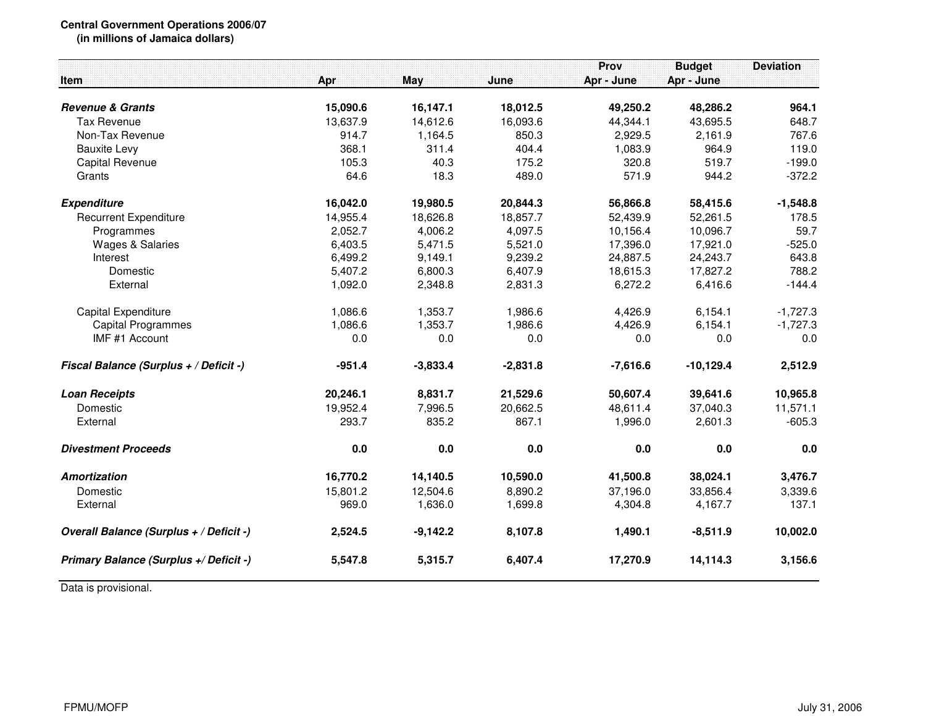## **Central Government Operations 2006/07**

**(in millions of Jamaica dollars)**

|                                         |          |            |            | Prov       | <b>Budget</b> | <b>Deviation</b> |
|-----------------------------------------|----------|------------|------------|------------|---------------|------------------|
| Item                                    | Apr      | May        | June       | Apr - June | Apr - June    |                  |
|                                         |          |            |            |            |               |                  |
| <b>Revenue &amp; Grants</b>             | 15,090.6 | 16,147.1   | 18,012.5   | 49,250.2   | 48,286.2      | 964.1            |
| <b>Tax Revenue</b>                      | 13,637.9 | 14,612.6   | 16,093.6   | 44,344.1   | 43,695.5      | 648.7            |
| Non-Tax Revenue                         | 914.7    | 1,164.5    | 850.3      | 2,929.5    | 2,161.9       | 767.6            |
| <b>Bauxite Levy</b>                     | 368.1    | 311.4      | 404.4      | 1,083.9    | 964.9         | 119.0            |
| <b>Capital Revenue</b>                  | 105.3    | 40.3       | 175.2      | 320.8      | 519.7         | $-199.0$         |
| Grants                                  | 64.6     | 18.3       | 489.0      | 571.9      | 944.2         | $-372.2$         |
| <b>Expenditure</b>                      | 16,042.0 | 19,980.5   | 20,844.3   | 56,866.8   | 58,415.6      | $-1,548.8$       |
| <b>Recurrent Expenditure</b>            | 14,955.4 | 18,626.8   | 18,857.7   | 52,439.9   | 52,261.5      | 178.5            |
| Programmes                              | 2,052.7  | 4,006.2    | 4,097.5    | 10,156.4   | 10,096.7      | 59.7             |
| <b>Wages &amp; Salaries</b>             | 6,403.5  | 5,471.5    | 5,521.0    | 17,396.0   | 17,921.0      | $-525.0$         |
| Interest                                | 6,499.2  | 9,149.1    | 9,239.2    | 24,887.5   | 24,243.7      | 643.8            |
| Domestic                                | 5,407.2  | 6,800.3    | 6,407.9    | 18,615.3   | 17,827.2      | 788.2            |
| External                                | 1,092.0  | 2,348.8    | 2,831.3    | 6,272.2    | 6,416.6       | $-144.4$         |
| Capital Expenditure                     | 1,086.6  | 1,353.7    | 1,986.6    | 4,426.9    | 6,154.1       | $-1,727.3$       |
| <b>Capital Programmes</b>               | 1,086.6  | 1,353.7    | 1,986.6    | 4,426.9    | 6,154.1       | $-1,727.3$       |
| IMF #1 Account                          | 0.0      | $0.0\,$    | 0.0        | 0.0        | 0.0           | 0.0              |
| Fiscal Balance (Surplus + / Deficit -)  | $-951.4$ | $-3,833.4$ | $-2,831.8$ | $-7,616.6$ | $-10,129.4$   | 2,512.9          |
| <b>Loan Receipts</b>                    | 20,246.1 | 8,831.7    | 21,529.6   | 50,607.4   | 39,641.6      | 10,965.8         |
| Domestic                                | 19,952.4 | 7,996.5    | 20,662.5   | 48,611.4   | 37,040.3      | 11,571.1         |
| External                                | 293.7    | 835.2      | 867.1      | 1,996.0    | 2,601.3       | $-605.3$         |
| <b>Divestment Proceeds</b>              | 0.0      | 0.0        | 0.0        | 0.0        | 0.0           | 0.0              |
| <b>Amortization</b>                     | 16,770.2 | 14,140.5   | 10,590.0   | 41,500.8   | 38,024.1      | 3,476.7          |
| Domestic                                | 15,801.2 | 12,504.6   | 8,890.2    | 37,196.0   | 33,856.4      | 3,339.6          |
| External                                | 969.0    | 1,636.0    | 1,699.8    | 4,304.8    | 4,167.7       | 137.1            |
| Overall Balance (Surplus + / Deficit -) | 2,524.5  | $-9,142.2$ | 8,107.8    | 1,490.1    | $-8,511.9$    | 10,002.0         |
| Primary Balance (Surplus +/ Deficit -)  | 5,547.8  | 5,315.7    | 6,407.4    | 17,270.9   | 14,114.3      | 3,156.6          |

Data is provisional.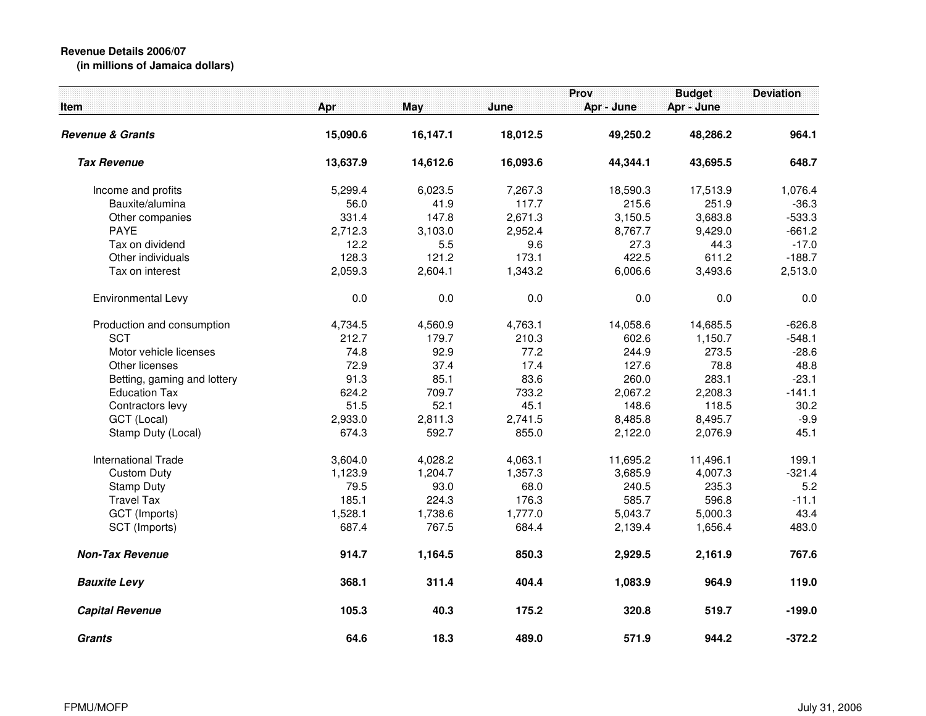## **Revenue Details 2006/07(in millions of Jamaica dollars)**

| <b>Item</b>                 | Apr      | May      | June     | Prov<br>Apr - June | <b>Budget</b><br>Apr - June | <b>Deviation</b> |
|-----------------------------|----------|----------|----------|--------------------|-----------------------------|------------------|
| <b>Revenue &amp; Grants</b> | 15,090.6 | 16,147.1 | 18,012.5 | 49,250.2           | 48,286.2                    | 964.1            |
| <b>Tax Revenue</b>          | 13,637.9 | 14,612.6 | 16,093.6 | 44,344.1           | 43,695.5                    | 648.7            |
| Income and profits          | 5,299.4  | 6,023.5  | 7,267.3  | 18,590.3           | 17,513.9                    | 1,076.4          |
| Bauxite/alumina             | 56.0     | 41.9     | 117.7    | 215.6              | 251.9                       | $-36.3$          |
| Other companies             | 331.4    | 147.8    | 2,671.3  | 3,150.5            | 3,683.8                     | $-533.3$         |
| <b>PAYE</b>                 | 2,712.3  | 3,103.0  | 2,952.4  | 8,767.7            | 9,429.0                     | $-661.2$         |
| Tax on dividend             | 12.2     | 5.5      | 9.6      | 27.3               | 44.3                        | $-17.0$          |
| Other individuals           | 128.3    | 121.2    | 173.1    | 422.5              | 611.2                       | $-188.7$         |
| Tax on interest             | 2,059.3  | 2,604.1  | 1,343.2  | 6,006.6            | 3,493.6                     | 2,513.0          |
| Environmental Levy          | 0.0      | 0.0      | 0.0      | 0.0                | 0.0                         | 0.0              |
| Production and consumption  | 4,734.5  | 4,560.9  | 4,763.1  | 14,058.6           | 14,685.5                    | $-626.8$         |
| <b>SCT</b>                  | 212.7    | 179.7    | 210.3    | 602.6              | 1,150.7                     | $-548.1$         |
| Motor vehicle licenses      | 74.8     | 92.9     | 77.2     | 244.9              | 273.5                       | $-28.6$          |
| Other licenses              | 72.9     | 37.4     | 17.4     | 127.6              | 78.8                        | 48.8             |
| Betting, gaming and lottery | 91.3     | 85.1     | 83.6     | 260.0              | 283.1                       | $-23.1$          |
| <b>Education Tax</b>        | 624.2    | 709.7    | 733.2    | 2,067.2            | 2,208.3                     | $-141.1$         |
| Contractors levy            | 51.5     | 52.1     | 45.1     | 148.6              | 118.5                       | 30.2             |
| GCT (Local)                 | 2,933.0  | 2,811.3  | 2,741.5  | 8,485.8            | 8,495.7                     | $-9.9$           |
| Stamp Duty (Local)          | 674.3    | 592.7    | 855.0    | 2,122.0            | 2,076.9                     | 45.1             |
| <b>International Trade</b>  | 3,604.0  | 4,028.2  | 4,063.1  | 11,695.2           | 11,496.1                    | 199.1            |
| <b>Custom Duty</b>          | 1,123.9  | 1,204.7  | 1,357.3  | 3,685.9            | 4,007.3                     | $-321.4$         |
| <b>Stamp Duty</b>           | 79.5     | 93.0     | 68.0     | 240.5              | 235.3                       | 5.2              |
| <b>Travel Tax</b>           | 185.1    | 224.3    | 176.3    | 585.7              | 596.8                       | $-11.1$          |
| GCT (Imports)               | 1,528.1  | 1,738.6  | 1,777.0  | 5,043.7            | 5,000.3                     | 43.4             |
| SCT (Imports)               | 687.4    | 767.5    | 684.4    | 2,139.4            | 1,656.4                     | 483.0            |
| <b>Non-Tax Revenue</b>      | 914.7    | 1,164.5  | 850.3    | 2,929.5            | 2,161.9                     | 767.6            |
| <b>Bauxite Levy</b>         | 368.1    | 311.4    | 404.4    | 1,083.9            | 964.9                       | 119.0            |
| <b>Capital Revenue</b>      | 105.3    | 40.3     | 175.2    | 320.8              | 519.7                       | $-199.0$         |
| <b>Grants</b>               | 64.6     | 18.3     | 489.0    | 571.9              | 944.2                       | $-372.2$         |